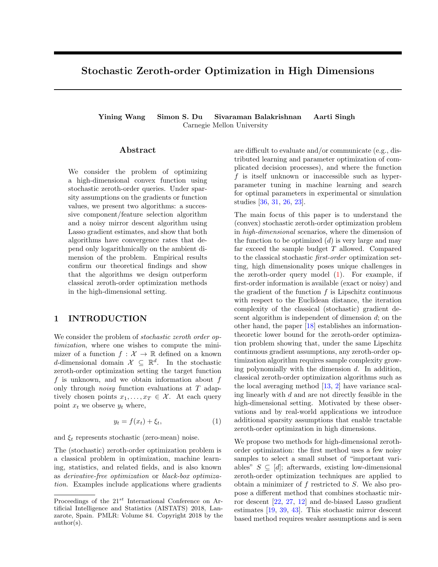# Stochastic Zeroth-order Optimization in High Dimensions

Yining Wang Simon S. Du Sivaraman Balakrishnan Aarti Singh Carnegie Mellon University

### Abstract

We consider the problem of optimizing a high-dimensional convex function using stochastic zeroth-order queries. Under sparsity assumptions on the gradients or function values, we present two algorithms: a successive component/feature selection algorithm and a noisy mirror descent algorithm using Lasso gradient estimates, and show that both algorithms have convergence rates that depend only logarithmically on the ambient dimension of the problem. Empirical results confirm our theoretical findings and show that the algorithms we design outperform classical zeroth-order optimization methods in the high-dimensional setting.

# 1 INTRODUCTION

We consider the problem of stochastic zeroth order optimization, where one wishes to compute the minimizer of a function  $f: \mathcal{X} \to \mathbb{R}$  defined on a known d-dimensional domain  $\mathcal{X} \subseteq \mathbb{R}^d$ . In the stochastic zeroth-order optimization setting the target function f is unknown, and we obtain information about f only through noisy function evaluations at T adaptively chosen points  $x_1, \ldots, x_T \in \mathcal{X}$ . At each query point  $x_t$  we observe  $y_t$  where,

$$
y_t = f(x_t) + \xi_t,\tag{1}
$$

and  $\xi_t$  represents stochastic (zero-mean) noise.

The (stochastic) zeroth-order optimization problem is a classical problem in optimization, machine learning, statistics, and related fields, and is also known as derivative-free optimization or black-box optimization. Examples include applications where gradients

are difficult to evaluate and/or communicate (e.g., distributed learning and parameter optimization of complicated decision processes), and where the function  $f$  is itself unknown or inaccessible such as hyperparameter tuning in machine learning and search for optimal parameters in experimental or simulation studies [36, 31, 26, 23].

The main focus of this paper is to understand the (convex) stochastic zeroth-order optimization problem in high-dimensional scenarios, where the dimension of the function to be optimized  $(d)$  is very large and may far exceed the sample budget T allowed. Compared to the classical stochastic first-order optimization setting, high dimensionality poses unique challenges in the zeroth-order query model  $(1)$ . For example, if first-order information is available (exact or noisy) and the gradient of the function  $f$  is Lipschitz continuous with respect to the Euclidean distance, the iteration complexity of the classical (stochastic) gradient descent algorithm is independent of dimension d; on the other hand, the paper [18] establishes an informationtheoretic lower bound for the zeroth-order optimization problem showing that, under the same Lipschitz continuous gradient assumptions, any zeroth-order optimization algorithm requires sample complexity growing polynomially with the dimension  $d$ . In addition, classical zeroth-order optimization algorithms such as the local averaging method [13, 2] have variance scaling linearly with d and are not directly feasible in the high-dimensional setting. Motivated by these observations and by real-world applications we introduce additional sparsity assumptions that enable tractable zeroth-order optimization in high dimensions.

We propose two methods for high-dimensional zerothorder optimization: the first method uses a few noisy samples to select a small subset of "important variables"  $S \subseteq [d]$ ; afterwards, existing low-dimensional zeroth-order optimization techniques are applied to obtain a minimizer of  $f$  restricted to  $S$ . We also propose a different method that combines stochastic mirror descent [22, 27, 12] and de-biased Lasso gradient estimates [19, 39, 43]. This stochastic mirror descent based method requires weaker assumptions and is seen

Proceedings of the  $21^{st}$  International Conference on Artificial Intelligence and Statistics (AISTATS) 2018, Lanzarote, Spain. PMLR: Volume 84. Copyright 2018 by the author(s).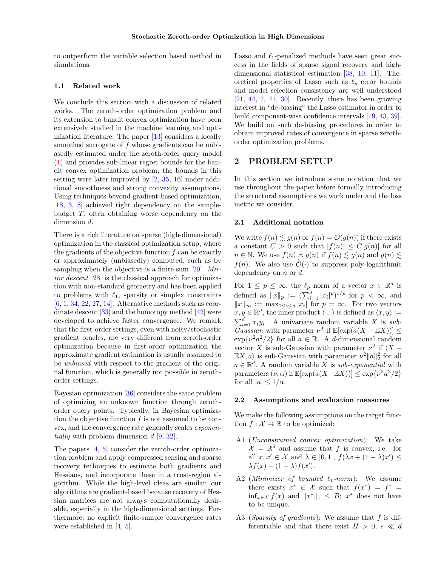to outperform the variable selection based method in simulations.

### 1.1 Related work

We conclude this section with a discussion of related works. The zeroth-order optimization problem and its extension to bandit convex optimization have been extensively studied in the machine learning and optimization literature. The paper [13] considers a locally smoothed surrogate of f whose gradients can be unbiasedly estimated under the zeroth-order query model (1) and provides sub-linear regret bounds for the bandit convex optimization problem; the bounds in this setting were later improved by [2, 35, 16] under additional smoothness and strong convexity assumptions. Using techniques beyond gradient-based optimization, [18, 3, 8] achieved tight dependency on the samplebudget T, often obtaining worse dependency on the dimension d.

There is a rich literature on sparse (high-dimensional) optimization in the classical optimization setup, where the gradients of the objective function  $f$  can be exactly or approximately (unbiasedly) computed, such as by sampling when the objective is a finite sum  $[20]$ . Mirror descent [28] is the classical approach for optimization with non-standard geometry and has been applied to problems with  $\ell_1$ , sparsity or simplex constraints [6, 1, 34, 22, 27, 14]. Alternative methods such as coordinate descent [33] and the homotopy method [42] were developed to achieve faster convergence. We remark that the first-order settings, even with noisy/stochastic gradient oracles, are very different from zeroth-order optimization because in first-order optimization the approximate gradient estimation is usually assumed to be unbiased with respect to the gradient of the original function, which is generally not possible in zerothorder settings.

Bayesian optimization [36] considers the same problem of optimizing an unknown function through zerothorder query points. Typically, in Bayesian optimization the objective function  $f$  is not assumed to be convex, and the convergence rate generally scales exponentially with problem dimension d [9, 32].

The papers [4, 5] consider the zeroth-order optimization problem and apply compressed sensing and sparse recovery techniques to estimate both gradients and Hessians, and incorporate these in a trust-region algorithm. While the high-level ideas are similar, our algorithms are gradient-based because recovery of Hessian matrices are not always computationally desirable, especially in the high-dimensional settings. Furthermore, no explicit finite-sample convergence rates were established in [4, 5].

Lasso and  $\ell_1$ -penalized methods have seen great success in the fields of sparse signal recovery and highdimensional statistical estimation [38, 10, 11]. Theoretical properties of Lasso such as  $\ell_p$  error bounds and model selection consistency are well understood  $[21, 44, 7, 41, 30]$ . Recently, there has been growing interest in "de-biasing" the Lasso estimator in order to build component-wise confidence intervals [19, 43, 39]. We build on such de-biasing procedures in order to obtain improved rates of convergence in sparse zerothorder optimization problems.

# 2 PROBLEM SETUP

In this section we introduce some notation that we use throughout the paper before formally introducing the structural assumptions we work under and the loss metric we consider.

### 2.1 Additional notation

We write  $f(n) \lesssim g(n)$  or  $f(n) = \mathcal{O}(g(n))$  if there exists a constant  $C > 0$  such that  $|f(n)| \leq C|g(n)|$  for all  $n \in \mathbb{N}$ . We use  $f(n) \approx g(n)$  if  $f(n) \lesssim g(n)$  and  $g(n) \lesssim$  $f(n)$ . We also use  $\widetilde{\mathcal{O}}(\cdot)$  to suppress poly-logarithmic dependency on  $n$  or  $d$ .

For  $1 \leq p \leq \infty$ , the  $\ell_p$  norm of a vector  $x \in \mathbb{R}^d$  is defined as  $||x||_p := (\sum_{i=1}^d |x_i|^p)^{1/p}$  for  $p < \infty$ , and  $||x||_{\infty} := \max_{1 \leq i \leq d} |x_i|$  for  $p = \infty$ . For two vectors  $x, y \in \mathbb{R}^d$  $x, y \in \mathbb{R}^d$ , the inner product  $\langle \cdot, \cdot \rangle$  is defined as  $\langle x, y \rangle :=$ <br> $\sum_{i=1}^d x_i y_i$ . A univariate random variable X is sub-Gaussian with parameter  $\nu^2$  if  $\mathbb{E}[\exp(a(X - \mathbb{E}X))] \leq$  $\exp{\nu^2 a^2/2}$  for all  $a \in \mathbb{R}$ . A d-dimensional random vector X is sub-Gaussian with parameter  $\nu^2$  if  $\langle X - \rangle$  $\mathbb{E}[X, a]$  is sub-Gaussian with parameter  $\nu^2 ||a||_2^2$  for all  $a \in \mathbb{R}^d$ . A random variable X is sub-exponential with parameters  $(\nu, \alpha)$  if  $\mathbb{E}[\exp(a(X - \mathbb{E}X))] \leq \exp\{\nu^2 a^2/2\}$ for all  $|a| \leq 1/\alpha$ .

#### 2.2 Assumptions and evaluation measures

We make the following assumptions on the target function  $f : \mathcal{X} \to \mathbb{R}$  to be optimized:

- A1 (Unconstrained convex optimization): We take  $\mathcal{X} = \mathbb{R}^d$  and assume that f is convex, i.e. for all  $x, x' \in \mathcal{X}$  and  $\lambda \in [0, 1], f(\lambda x + (1 - \lambda)x') \le$  $\lambda f(x) + (1 - \lambda) f(x').$
- A2 (Minimizer of bounded  $\ell_1$ -norm): We assume there exists  $x^* \in \mathcal{X}$  such that  $f(x^*) = f^* =$  $\inf_{x \in \mathcal{X}} f(x)$  and  $||x^*||_1 \leq B$ ;  $x^*$  does not have to be unique.
- A3 *(Sparsity of gradients)*: We assume that f is differentiable and that there exist  $H > 0$ ,  $s \ll d$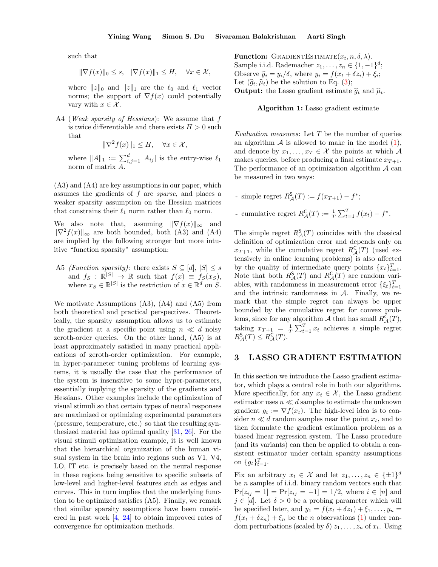such that

$$
\|\nabla f(x)\|_0 \le s, \ \ \|\nabla f(x)\|_1 \le H, \quad \forall x \in \mathcal{X},
$$

where  $||z||_0$  and  $||z||_1$  are the  $\ell_0$  and  $\ell_1$  vector norms; the support of  $\nabla f(x)$  could potentially vary with  $x \in \mathcal{X}$ .

A4 (*Weak sparsity of Hessians*): We assume that f is twice differentiable and there exists  $H > 0$  such that

$$
\|\nabla^2 f(x)\|_1 \le H, \quad \forall x \in \mathcal{X},
$$

where  $||A||_1 := \sum_{i,j=1}^d |A_{ij}|$  is the entry-wise  $\ell_1$ norm of matrix A.

(A3) and (A4) are key assumptions in our paper, which assumes the gradients of f are sparse, and places a weaker sparsity assumption on the Hessian matrices that constrains their  $\ell_1$  norm rather than  $\ell_0$  norm.

We also note that, assuming  $\|\nabla f(x)\|_{\infty}$  and  $\|\nabla^2 f(x)\|_{\infty}$  are both bounded, both (A3) and (A4) are implied by the following stronger but more intuitive "function sparsity" assumption:

A5 *(Function sparsity)*: there exists  $S \subseteq [d], |S| \leq s$ and  $f_S : \mathbb{R}^{|S|} \to \mathbb{R}$  such that  $f(x) \equiv f_S(x_S)$ , where  $x_S \in \mathbb{R}^{|S|}$  is the restriction of  $x \in \mathbb{R}^d$  on S.

We motivate Assumptions (A3), (A4) and (A5) from both theoretical and practical perspectives. Theoretically, the sparsity assumption allows us to estimate the gradient at a specific point using  $n \ll d$  noisy zeroth-order queries. On the other hand, (A5) is at least approximately satisfied in many practical applications of zeroth-order optimization. For example, in hyper-parameter tuning problems of learning systems, it is usually the case that the performance of the system is insensitive to some hyper-parameters, essentially implying the sparsity of the gradients and Hessians. Other examples include the optimization of visual stimuli so that certain types of neural responses are maximized or optimizing experimental parameters (pressure, temperature, etc.) so that the resulting synthesized material has optimal quality [31, 26]. For the visual stimuli optimization example, it is well known that the hierarchical organization of the human visual system in the brain into regions such as V1, V4, LO, IT etc. is precisely based on the neural response in these regions being sensitive to specific subsets of low-level and higher-level features such as edges and curves. This in turn implies that the underlying function to be optimized satisfies (A5). Finally, we remark that similar sparsity assumptions have been considered in past work [4, 24] to obtain improved rates of convergence for optimization methods.

**Function:** GRADIENTESTIMATE $(x_t, n, \delta, \lambda)$ . Sample i.i.d. Rademacher  $z_1, \ldots, z_n \in \{1, -1\}^d$ ; Observe  $\widetilde{y}_i = y_i/\delta$ , where  $y_i = f(x_t + \delta z_i) + \xi_i$ ; Let  $(\widehat{g}_t, \widehat{\mu}_t)$  be the solution to Eq. (3); **Output:** the Lasso gradient estimate  $\hat{g}_t$  and  $\hat{\mu}_t$ .

Algorithm 1: Lasso gradient estimate

Evaluation measures: Let  $T$  be the number of queries an algorithm  $\mathcal A$  is allowed to make in the model  $(1)$ , and denote by  $x_1, \ldots, x_T \in \mathcal{X}$  the points at which A makes queries, before producing a final estimate  $x_{T+1}$ . The performance of an optimization algorithm  $\mathcal A$  can be measured in two ways:

- simple regret  $R_{\mathcal{A}}^{S}(T) := f(x_{T+1}) f^{*};$
- cumulative regret  $R_{\mathcal{A}}^{\mathsf{C}}(T) := \frac{1}{T} \sum_{t=1}^{T} f(x_t) f^*$ .

The simple regret  $R^{\mathsf{S}}_{\mathcal{A}}(T)$  coincides with the classical definition of optimization error and depends only on  $x_{T+1}$ , while the cumulative regret  $R^{\mathsf{C}}_{\mathcal{A}}(T)$  (used extensively in online learning problems) is also affected by the quality of intermediate query points  $\{x_t\}_{t=1}^T$ . Note that both  $R^{\mathsf{S}}_{\mathcal{A}}(T)$  and  $R^{\mathsf{C}}_{\mathcal{A}}(T)$  are random variables, with randomness in measurement error  $\{\xi_t\}_{t=1}^T$ and the intrinsic randomness in  $A$ . Finally, we remark that the simple regret can always be upper bounded by the cumulative regret for convex problems, since for any algorithm A that has small  $R^{\mathsf{C}}_{\mathcal{A}}(T)$ , taking  $x_{T+1} = \frac{1}{T} \sum_{t=1}^{T} x_t$  achieves a simple regret  $R^{\mathsf{S}}_{\mathcal{A}}(T) \leq R^{\mathsf{C}}_{\mathcal{A}}(T).$ 

### 3 LASSO GRADIENT ESTIMATION

In this section we introduce the Lasso gradient estimator, which plays a central role in both our algorithms. More specifically, for any  $x_t \in \mathcal{X}$ , the Lasso gradient estimator uses  $n \ll d$  samples to estimate the unknown gradient  $g_t := \nabla f(x_t)$ . The high-level idea is to consider  $n \ll d$  random samples near the point  $x_t$ , and to then formulate the gradient estimation problem as a biased linear regression system. The Lasso procedure (and its variants) can then be applied to obtain a consistent estimator under certain sparsity assumptions on  $\{g_t\}_{t=1}^T$ .

Fix an arbitrary  $x_t \in \mathcal{X}$  and let  $z_1, \ldots, z_n \in {\{\pm 1\}}^d$ be n samples of i.i.d. binary random vectors such that  $Pr[z_{ij} = 1] = Pr[z_{ij} = -1] = 1/2$ , where  $i \in [n]$  and  $j \in [d]$ . Let  $\delta > 0$  be a probing parameter which will be specified later, and  $y_1 = f(x_t + \delta z_1) + \xi_1, \ldots, y_n =$  $f(x_t + \delta z_n) + \xi_n$  be the *n* observations (1) under random perturbations (scaled by  $\delta$ )  $z_1, \ldots, z_n$  of  $x_t$ . Using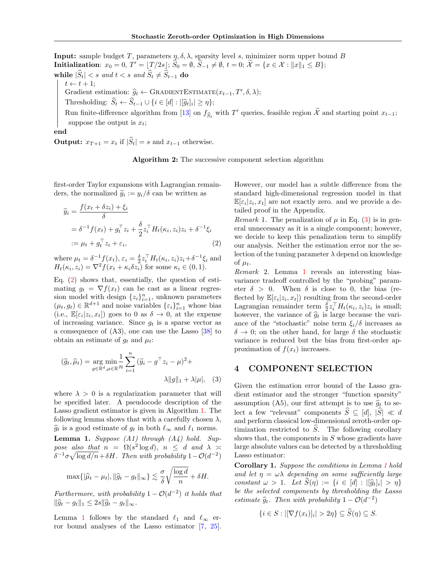**Input:** sample budget T, parameters  $\eta$ ,  $\delta$ ,  $\lambda$ , sparsity level s, minimizer norm upper bound B  $\text{Initialization: } x_0 = 0, T' = \lfloor T/2s \rfloor; \, S_0 = \emptyset, \, S_{-1} \neq \emptyset, \, t = 0; \, \mathcal{X} = \{x \in \mathcal{X} : \|x\|_1 \leq B\};$ while  $|\widehat{S}_t| < s$  and  $t < s$  and  $\widehat{S}_t \neq \widehat{S}_{t-1}$  do  $t \leftarrow t + 1$ ; Gradient estimation:  $\hat{g}_t \leftarrow \text{GRADIENTESTIMATE}(x_{t-1}, T', \delta, \lambda);$ 

Thresholding:  $S_t \leftarrow S_{t-1} \cup \{i \in [d] : ||\widehat{g}_t|_i| \geq \eta\};$ 

Run finite-difference algorithm from [13] on  $f_{\hat{S}_t}$  with T' queries, feasible region X and starting point  $x_{t-1}$ ; suppose the output is  $x_t$ ;

#### end

**Output:**  $x_{T+1} = x_t$  if  $|\hat{S}_t| = s$  and  $x_{t-1}$  otherwise.

Algorithm 2: The successive component selection algorithm

first-order Taylor expansions with Lagrangian remainders, the normalized  $\tilde{y}_i := y_i/\delta$  can be written as

$$
\widetilde{y}_i = \frac{f(x_t + \delta z_i) + \xi_i}{\delta}
$$
\n
$$
= \delta^{-1} f(x_t) + g_t^\top z_i + \frac{\delta}{2} z_i^\top H_t(\kappa_i, z_i) z_i + \delta^{-1} \xi_i
$$
\n
$$
:= \mu_t + g_t^\top z_i + \varepsilon_i,\tag{2}
$$

where  $\mu_t = \delta^{-1} f(x_t)$ ,  $\varepsilon_i = \frac{\delta}{2} z_i^\top H_t(\kappa_i, z_i) z_i + \delta^{-1} \xi_i$  and  $H_t(\kappa_i, z_i) = \nabla^2 f(x_t + \kappa_i \delta z_i)$  for some  $\kappa_i \in (0, 1)$ .

Eq. (2) shows that, essentially, the question of estimating  $q_t = \nabla f(x_t)$  can be cast as a linear regression model with design  $\{z_i\}_{i=1}^n$ , unknown parameters  $(\mu_t, g_t) \in \mathbb{R}^{d+1}$  and noise variables  $\{\varepsilon_i\}_{i=1}^n$  whose bias (i.e.,  $\mathbb{E}[\varepsilon_i|z_i,x_t]$ ) goes to 0 as  $\delta \to 0$ , at the expense of increasing variance. Since  $q_t$  is a sparse vector as a consequence of (A3), one can use the Lasso [38] to obtain an estimate of  $g_t$  and  $\mu_t$ :

$$
(\widehat{g}_t, \widehat{\mu}_t) = \underset{g \in \mathbb{R}^d, \mu \in \mathbb{R}}{\arg \min} \frac{1}{n} \sum_{i=1}^n (\widetilde{y}_i - g^\top z_i - \mu)^2 + \lambda ||g||_1 + \lambda |\mu|, \quad (3)
$$

where  $\lambda > 0$  is a regularization parameter that will be specified later. A pseudocode description of the Lasso gradient estimator is given in Algorithm 1. The following lemma shows that with a carefully chosen  $\lambda$ ,  $\widehat{g}_t$  is a good estimate of  $g_t$  in both  $\ell_{\infty}$  and  $\ell_1$  norms. **Lemma 1.** Suppose  $(A1)$  through  $(A4)$  hold. Suppose also that  $n = \Omega(s^2 \log d), n \leq d$  and  $\lambda \geq$  $\delta^{-1}\sigma\sqrt{\log d/n} + \delta H$ . Then with probability  $1 - \mathcal{O}(d^{-2})$ 

$$
\max\{|\widehat{\mu}_t - \mu_t|, \|\widehat{g}_t - g_t\|_{\infty}\} \lesssim \frac{\sigma}{\delta} \sqrt{\frac{\log d}{n}} + \delta H.
$$

Furthermore, with probability  $1 - \mathcal{O}(d^{-2})$  it holds that  $\|\widehat{g}_t - g_t\|_1 \leq 2s \|\widehat{g}_t - g_t\|_{\infty}.$ 

Lemma 1 follows by the standard  $\ell_1$  and  $\ell_\infty$  error bound analyses of the Lasso estimator [7, 25].

However, our model has a subtle difference from the standard high-dimensional regression model in that  $\mathbb{E}[\varepsilon_i | z_i, x_t]$  are not exactly zero. and we provide a detailed proof in the Appendix.

*Remark* 1. The penalization of  $\mu$  in Eq. (3) is in general unnecessary as it is a single component; however, we decide to keep this penalization term to simplify our analysis. Neither the estimation error nor the selection of the tuning parameter  $\lambda$  depend on knowledge of  $\mu_t$ .

Remark 2. Lemma 1 reveals an interesting biasvariance tradeoff controlled by the "probing" parameter  $\delta > 0$ . When  $\delta$  is close to 0, the bias (reflected by  $\mathbb{E}[\varepsilon_i | z_i, x_t]$  resulting from the second-order Lagrangian remainder term  $\frac{\delta}{2} z_i^\top H_t(\kappa_i, z_i) z_i$  is small; however, the variance of  $\hat{g}_t$  is large because the variance of the "stochastic" noise term  $\xi_i/\delta$  increases as  $\delta \rightarrow 0$ ; on the other hand, for large  $\delta$  the stochastic variance is reduced but the bias from first-order approximation of  $f(x_t)$  increases.

### 4 COMPONENT SELECTION

Given the estimation error bound of the Lasso gradient estimator and the stronger "function sparsity" assumption (A5), our first attempt is to use  $\hat{g}_t$  to select a few "relevant" components  $\widehat{S} \subseteq [d], |\widehat{S}| \ll d$ and perform classical low-dimensional zeroth-order optimization restricted to  $\hat{S}$ . The following corollary shows that, the components in S whose gradients have large absolute values can be detected by a thresholding Lasso estimator:

Corollary 1. Suppose the conditions in Lemma 1 hold and let  $\eta = \omega \lambda$  depending on some sufficiently large constant  $\omega > 1$ . Let  $S(\eta) := \{i \in [d] : |\widehat{g}_t|_i| > \eta\}$ be the selected components by thresholding the Lasso estimate  $\hat{g}_t$ . Then with probability  $1 - \mathcal{O}(d^{-2})$ 

$$
\{i \in S : |[\nabla f(x_t)]_i| > 2\eta\} \subseteq S(\eta) \subseteq S.
$$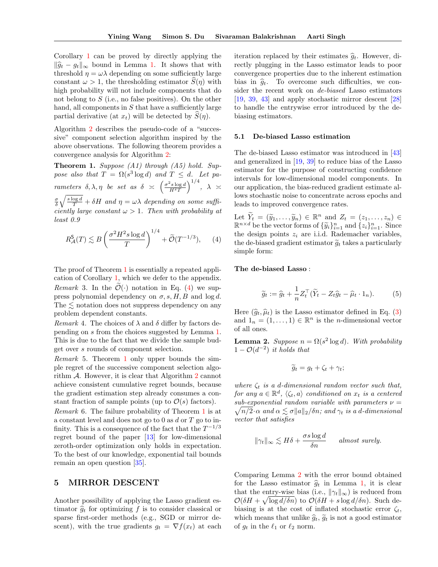Corollary 1 can be proved by directly applying the  $\|\widehat{g}_t - g_t\|_{\infty}$  bound in Lemma 1. It shows that with threshold  $\eta = \omega \lambda$  depending on some sufficiently large constant  $\omega > 1$ , the thresholding estimator  $\hat{S}(\eta)$  with high probability will not include components that do not belong to S (i.e., no false positives). On the other hand, all components in  $S$  that have a sufficiently large partial derivative (at  $x_t$ ) will be detected by  $S(\eta)$ .

Algorithm 2 describes the pseudo-code of a "successive" component selection algorithm inspired by the above observations. The following theorem provides a convergence analysis for Algorithm 2:

**Theorem 1.** Suppose  $(A1)$  through  $(A5)$  hold. Suppose also that  $T = \Omega(s^3 \log d)$  and  $T \leq d$ . Let parameters  $\delta, \lambda, \eta$  be set as  $\delta \ \asymp \ \left( \frac{\sigma^2 s \log d}{H^2 T} \right)$  $\Big)^{1/4}, \ \ \lambda \ \asymp$ 

σ δ  $\sqrt{\frac{s \log d}{T}} + \delta H$  and  $\eta = \omega \lambda$  depending on some sufficiently large constant  $\omega > 1$ . Then with probability at least 0.9

$$
R_{\mathcal{A}}^{\mathsf{S}}(T) \lesssim B \left( \frac{\sigma^2 H^2 s \log d}{T} \right)^{1/4} + \widetilde{\mathcal{O}}(T^{-1/3}), \qquad (4)
$$

The proof of Theorem 1 is essentially a repeated application of Corollary 1, which we defer to the appendix. *Remark* 3. In the  $\widetilde{\mathcal{O}}(\cdot)$  notation in Eq. (4) we suppress polynomial dependency on  $\sigma$ , s, H, B and log d. The  $\leq$  notation does not suppress dependency on any problem dependent constants.

Remark 4. The choices of  $\lambda$  and  $\delta$  differ by factors depending on s from the choices suggested by Lemma 1. This is due to the fact that we divide the sample budget over s rounds of component selection.

Remark 5. Theorem 1 only upper bounds the simple regret of the successive component selection algorithm  $A$ . However, it is clear that Algorithm 2 cannot achieve consistent cumulative regret bounds, because the gradient estimation step already consumes a constant fraction of sample points (up to  $\mathcal{O}(s)$  factors).

Remark 6. The failure probability of Theorem 1 is at a constant level and does not go to  $0$  as  $d$  or  $T$  go to infinity. This is a consequence of the fact that the  $T^{-1/3}$ regret bound of the paper [13] for low-dimensional zeroth-order optimization only holds in expectation. To the best of our knowledge, exponential tail bounds remain an open question [35].

## 5 MIRROR DESCENT

Another possibility of applying the Lasso gradient estimator  $\hat{g}_t$  for optimizing f is to consider classical or sparse first-order methods (e.g., SGD or mirror descent), with the true gradients  $g_t = \nabla f(x_t)$  at each

iteration replaced by their estimates  $\hat{g}_t$ . However, directly plugging in the Lasso estimator leads to poor convergence properties due to the inherent estimation bias in  $\hat{g}_t$ . To overcome such difficulties, we consider the recent work on de-biased Lasso estimators [19, 39, 43] and apply stochastic mirror descent [28] to handle the entrywise error introduced by the debiasing estimators.

### 5.1 De-biased Lasso estimation

The de-biased Lasso estimator was introduced in [43] and generalized in [19, 39] to reduce bias of the Lasso estimator for the purpose of constructing confidence intervals for low-dimensional model components. In our application, the bias-reduced gradient estimate allows stochastic noise to concentrate across epochs and leads to improved convergence rates.

Let  $\widetilde{Y}_t = (\widetilde{y}_1, \ldots, \widetilde{y}_n) \in \mathbb{R}^n$  and  $Z_t = (z_1, \ldots, z_n) \in$  $\mathbb{R}^{n \times d}$  be the vector forms of  $\{\widetilde{y}_i\}_{i=1}^n$  and  $\{z_i\}_{i=1}^n$ . Since the design points  $z_i$  are i.i.d. Rademacher variables, the de-biased gradient estimator  $\tilde{q}_t$  takes a particularly simple form:

The de-biased Lasso :

$$
\widetilde{g}_t := \widehat{g}_t + \frac{1}{n} Z_t^\top (\widetilde{Y}_t - Z_t \widehat{g}_t - \widehat{\mu}_t \cdot 1_n). \tag{5}
$$

Here  $(\hat{g}_t, \hat{\mu}_t)$  is the Lasso estimator defined in Eq. (3) and  $1_n = (1, ..., 1) \in \mathbb{R}^n$  is the *n*-dimensional vector of all ones.

**Lemma 2.** Suppose  $n = \Omega(s^2 \log d)$ . With probability  $1 - \mathcal{O}(d^{-2})$  it holds that

$$
\widetilde{g}_t = g_t + \zeta_t + \gamma_t;
$$

where  $\zeta_t$  is a d-dimensional random vector such that, for any  $a \in \mathbb{R}^d$ ,  $\langle \zeta_t, a \rangle$  conditioned on  $x_t$  is a centered  $\sqrt{n/2}\cdot\alpha$  and  $\alpha \lesssim \sigma \|a\|_2/\delta n$ ; and  $\gamma_t$  is a d-dimensional sub-exponential random variable with parameters  $\nu =$ vector that satisfies

$$
\|\gamma_t\|_{\infty} \lesssim H\delta + \frac{\sigma s \log d}{\delta n} \quad \text{almost surely.}
$$

Comparing Lemma 2 with the error bound obtained for the Lasso estimator  $\hat{g}_t$  in Lemma 1, it is clear that the entry-wise bias (i.e.,  $\|\gamma_t\|_{\infty}$ ) is reduced from  $\mathcal{O}(\delta H + \sqrt{\log d/\delta n})$  to  $\mathcal{O}(\delta H + s \log d/\delta n)$ . Such debiasing is at the cost of inflated stochastic error  $\zeta_t$ , which means that unlike  $\hat{g}_t$ ,  $\tilde{g}_t$  is not a good estimator of  $g_t$  in the  $\ell_1$  or  $\ell_2$  norm.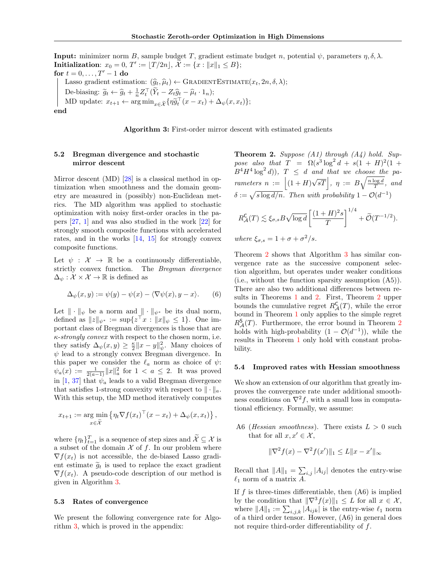**Input:** minimizer norm B, sample budget T, gradient estimate budget n, potential  $\psi$ , parameters  $\eta$ ,  $\delta$ ,  $\lambda$ . Initialization:  $x_0 = 0, T' := [T/2n], X := \{x : ||x||_1 \leq B\};$ for  $t = 0, \ldots, T' - 1$  do Lasso gradient estimation:  $(\widehat{g}_t, \widehat{\mu}_t) \leftarrow \text{GRADIENTESTIMATE}(x_t, 2n, \delta, \lambda);$ De-biasing:  $\widetilde{g}_t \leftarrow \widehat{g}_t + \frac{1}{n} Z_t^\top (\widetilde{Y}_t - Z_t \widehat{g}_t - \widehat{\mu}_t \cdot 1_n);$ MD update:  $x_{t+1} \leftarrow \arg \min_{x \in \widetilde{\mathcal{X}}} \{ \eta \widetilde{g}_t^{\top} (x - x_t) + \Delta_{\psi} (x, x_t) \};$ 

end

Algorithm 3: First-order mirror descent with estimated gradients

### 5.2 Bregman divergence and stochastic mirror descent

Mirror descent (MD) [28] is a classical method in optimization when smoothness and the domain geometry are measured in (possibly) non-Euclidean metrics. The MD algorithm was applied to stochastic optimization with noisy first-order oracles in the papers [27, 1] and was also studied in the work [22] for strongly smooth composite functions with accelerated rates, and in the works [14, 15] for strongly convex composite functions.

Let  $\psi : \mathcal{X} \to \mathbb{R}$  be a continuously differentiable, strictly convex function. The Bregman divergence  $\Delta_{\psi}: \mathcal{X} \times \mathcal{X} \rightarrow \mathbb{R}$  is defined as

$$
\Delta_{\psi}(x, y) := \psi(y) - \psi(x) - \langle \nabla \psi(x), y - x \rangle.
$$
 (6)

Let  $\|\cdot\|_{\psi}$  be a norm and  $\|\cdot\|_{\psi^*}$  be its dual norm, defined as  $||z||_{\psi^*} := \sup\{z \mid x : ||x||_{\psi} \leq 1\}.$  One important class of Bregman divergences is those that are  $\kappa$ -strongly convex with respect to the chosen norm, i.e. they satisfy  $\Delta_{\psi}(x, y) \geq \frac{\kappa}{2} ||x - y||_{\psi}^2$ . Many choices of  $\psi$  lead to a strongly convex Bregman divergence. In this paper we consider the  $\ell_a$  norm as choice of  $\psi$ :  $\psi_a(x) := \frac{1}{2(a-1)} \|x\|_a^2$  for  $1 < a \leq 2$ . It was proved in [1, 37] that  $\psi_a$  leads to a valid Bregman divergence that satisfies 1-strong convexity with respect to  $\|\cdot\|_a$ . With this setup, the MD method iteratively computes

$$
x_{t+1} := \arg\min_{x \in \widetilde{\mathcal{X}}} \left\{ \eta_t \nabla f(x_t)^\top (x - x_t) + \Delta_{\psi}(x, x_t) \right\},\,
$$

where  $\{\eta_t\}_{t=1}^T$  is a sequence of step sizes and  $\mathcal{X} \subseteq \mathcal{X}$  is a subset of the domain  $\mathcal X$  of f. In our problem where  $\nabla f(x_t)$  is not accessible, the de-biased Lasso gradient estimate  $\tilde{q}_t$  is used to replace the exact gradient  $\nabla f(x_t)$ . A pseudo-code description of our method is given in Algorithm 3.

#### 5.3 Rates of convergence

We present the following convergence rate for Algorithm 3, which is proved in the appendix:

**Theorem 2.** Suppose  $(A1)$  through  $(A4)$  hold. Suppose also that  $T = \Omega(s^3 \log^2 d + s(1 + H)^2(1 +$  $B^4H^4\log^2 d$ ),  $T \leq d$  and that we choose the parameters  $n := |(1 + H)\sqrt{sT}|, \eta := B\sqrt{\frac{n \log d}{T}}, \text{ and}$  $\delta := \sqrt{s \log d/n}$ . Then with probability  $1 - \mathcal{O}(d^{-1})$ 

$$
R_{\mathcal{A}}^{\mathsf{C}}(T) \lesssim \xi_{\sigma,s} B \sqrt{\log d} \left[ \frac{(1+H)^2 s}{T} \right]^{1/4} + \widetilde{\mathcal{O}}(T^{-1/2}).
$$
  
where  $\xi_{\sigma,s} = 1 + \sigma + \sigma^2/s$ .

Theorem 2 shows that Algorithm 3 has similar convergence rate as the successive component selection algorithm, but operates under weaker conditions (i.e., without the function sparsity assumption (A5)). There are also two additional differences between results in Theorems 1 and 2. First, Theorem 2 upper bounds the cumulative regret  $R_{\mathcal{A}}^{\mathsf{C}}(T)$ , while the error bound in Theorem 1 only applies to the simple regret  $R_{\mathcal{A}}^{\mathsf{S}}(T)$ . Furthermore, the error bound in Theorem 2 holds with high-probability  $(1 - \mathcal{O}(d^{-1}))$ , while the results in Theorem 1 only hold with constant probability.

#### 5.4 Improved rates with Hessian smoothness

We show an extension of our algorithm that greatly improves the convergence rate under additional smoothness conditions on  $\nabla^2 f$ , with a small loss in computational efficiency. Formally, we assume:

A6 (*Hessian smoothness*). There exists  $L > 0$  such that for all  $x, x' \in \mathcal{X}$ ,

$$
\|\nabla^2 f(x) - \nabla^2 f(x')\|_1 \le L\|x - x'\|_{\infty}
$$

Recall that  $||A||_1 = \sum_{i,j} |A_{ij}|$  denotes the entry-wise  $\ell_1$  norm of a matrix A.

If  $f$  is three-times differentiable, then  $(46)$  is implied by the condition that  $\|\nabla^3 f(x)\|_1 \leq L$  for all  $x \in \mathcal{X}$ , where  $||A||_1 := \sum_{i,j,k} |A_{ijk}|$  is the entry-wise  $\ell_1$  norm of a third order tensor. However, (A6) in general does not require third-order differentiability of  $f$ .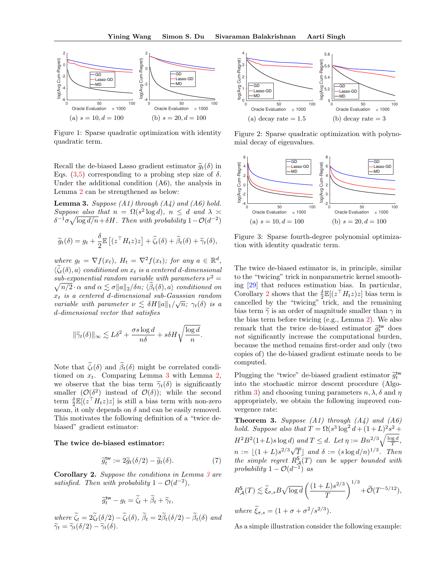

Figure 1: Sparse quadratic optimization with identity quadratic term.

Recall the de-biased Lasso gradient estimator  $\tilde{g}_t(\delta)$  in Eqs. (3.5) corresponding to a probing step size of  $\delta$ . Under the additional condition (A6), the analysis in Lemma 2 can be strengthened as below:

**Lemma 3.** Suppose  $(A1)$  through  $(A4)$  and  $(A6)$  hold. Suppose also that  $n = \Omega(s^2 \log d)$ ,  $n \leq d$  and  $\lambda \geq$  $\delta^{-1}\sigma\sqrt{\log d/n} + \delta H$ . Then with probability  $1 - \mathcal{O}(d^{-2})$ 

$$
\widetilde{g}_t(\delta) = g_t + \frac{\delta}{2} \mathbb{E} \left[ (z^\top H_t z) z \right] + \widetilde{\zeta}_t(\delta) + \widetilde{\beta}_t(\delta) + \widetilde{\gamma}_t(\delta),
$$

where  $g_t = \nabla f(x_t)$ ,  $H_t = \nabla^2 f(x_t)$ ; for any  $a \in \mathbb{R}^d$ ,  $\langle \zeta_t(\delta), a \rangle$  conditioned on  $x_t$  is a centered d-dimensional sub-exponential random variable with parameters  $\nu^2 = \sqrt{n/2} \cdot \alpha$  and  $\alpha \leq \sigma ||a||_2 / \delta n$ ;  $(\widetilde{\beta}_1(\delta), a)$  conditioned on  $\sqrt{n/2} \cdot \alpha$  and  $\alpha \lesssim \sigma \|a\|_2/\delta n$ ;  $\langle \beta_t(\delta), a \rangle$  conditioned on  $x_t$  is a centered d-dimensional sub-Gaussian random variable with parameter  $\nu \lesssim \delta H \|a\|_1/\sqrt{n}$ ;  $\gamma_t(\delta)$  is a d-dimensional vector that satisfies

$$
\|\widetilde{\gamma}_t(\delta)\|_\infty \lesssim L\delta^2 + \frac{\sigma s\log d}{n\delta} + s\delta H\sqrt{\frac{\log d}{n}}.
$$

Note that  $\tilde{\zeta}_t(\delta)$  and  $\tilde{\beta}_t(\delta)$  might be correlated conditioned on  $x_t$ . Comparing Lemma 3 with Lemma 2, we observe that the bias term  $\tilde{\gamma}_t(\delta)$  is significantly smaller  $(\mathcal{O}(\delta^2))$  instead of  $\mathcal{O}(\delta)$ ; while the second term  $\frac{\delta}{2} \mathbb{E}[(z^\top H_t z)z]$  is still a bias term with non-zero mean, it only depends on  $\delta$  and can be easily removed. This motivates the following definition of a "twice debiased" gradient estimator:

#### The twice de-biased estimator:

$$
\widetilde{g}_t^{\text{tw}} := 2\widetilde{g}_t(\delta/2) - \widetilde{g}_t(\delta). \tag{7}
$$

Corollary 2. Suppose the conditions in Lemma 3 are satisfied. Then with probability  $1 - \mathcal{O}(d^{-2})$ ,

$$
\widetilde{g}_t^{\mathsf{tw}} - g_t = \widetilde{\zeta}_t + \widetilde{\beta}_t + \widetilde{\gamma}_t,
$$

where  $\zeta_t = 2\zeta_t(\delta/2) - \zeta_t(\delta)$ ,  $\beta_t = 2\beta_t(\delta/2) - \beta_t(\delta)$  and  $\widetilde{\gamma}_t = \widetilde{\gamma}_t(\delta/2) - \widetilde{\gamma}_t(\delta).$ 



Figure 2: Sparse quadratic optimization with polynomial decay of eigenvalues.



Figure 3: Sparse fourth-degree polynomial optimization with identity quadratic term.

The twice de-biased estimator is, in principle, similar to the "twicing" trick in nonparametric kernel smoothing [29] that reduces estimation bias. In particular, Corollary 2 shows that the  $\frac{\delta}{2} \mathbb{E}[(z^\top H_t z)z]$  bias term is cancelled by the "twicing" trick, and the remaining bias term  $\tilde{\gamma}$  is an order of magnitude smaller than  $\gamma$  in the bias term before twicing (e.g., Lemma 2). We also remark that the twice de-biased estimator  $\widetilde{g}_t^{\text{tw}}$  does not significantly increase the computational burden, because the method remains first-order and only (two copies of) the de-biased gradient estimate needs to be computed.

Plugging the "twice" de-biased gradient estimator  $\tilde{g}_t^{\text{tw}}$ into the stochastic mirror descent procedure (Algorithm 3) and choosing tuning parameters  $n, \lambda, \delta$  and  $\eta$ appropriately, we obtain the following improved convergence rate:

**Theorem 3.** Suppose  $(A1)$  through  $(A4)$  and  $(A6)$ hold. Suppose also that  $T = \Omega(s^3 \log^2 d + (1+L)^2 s^2 +$  $H^2B^2(1+L)s\log d)$  and  $T\leq d$ . Let  $\eta:=Bn^{2/3}\sqrt{\frac{\log d}{T}}$ ,  $n := \lfloor (1 + L)s^{2/3}\sqrt{T} \rfloor$  and  $\delta := (s \log d/n)^{1/3}$ . Then the simple regret  $R^{\mathsf{S}}_{\mathcal{A}}(T)$  can be upper bounded with probability  $1 - \mathcal{O}(d^{-1})$  as

$$
R_{\mathcal{A}}^{S}(T) \lesssim \widetilde{\xi}_{\sigma,s} B \sqrt{\log d} \left( \frac{(1+L)s^{2/3}}{T} \right)^{1/3} + \widetilde{\mathcal{O}}(T^{-5/12}),
$$
  
where  $\widetilde{\xi}_{\sigma,s} = (1 + \sigma + \sigma^2/s^{2/3}).$ 

As a simple illustration consider the following example: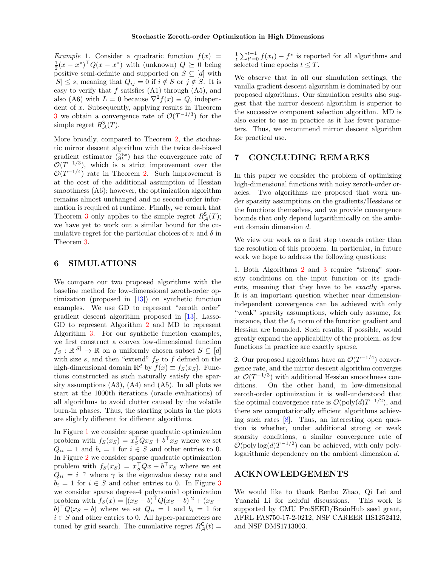Example 1. Consider a quadratic function  $f(x) =$  $\frac{1}{2}(x-x^*)^\top Q(x-x^*)$  with (unknown)  $Q \succeq 0$  being positive semi-definite and supported on  $S \subseteq [d]$  with  $|S| \leq s$ , meaning that  $Q_{ij} = 0$  if  $i \notin S$  or  $j \notin S$ . It is easy to verify that  $f$  satisfies  $(A1)$  through  $(A5)$ , and also (A6) with  $L = 0$  because  $\nabla^2 f(x) \equiv Q$ , independent of x. Subsequently, applying results in Theorem 3 we obtain a convergence rate of  $\mathcal{O}(T^{-1/3})$  for the simple regret  $R^{\mathsf{S}}_{\mathcal{A}}(T)$ .

More broadly, compared to Theorem 2, the stochastic mirror descent algorithm with the twice de-biased gradient estimator  $(\tilde{g}_t^{\text{tw}})$  has the convergence rate of  $\mathcal{O}(T^{-1/3})$  which is the improper vertice that  $\mathcal{O}(T^{-1/3})$ , which is a strict improvement over the  $\mathcal{O}(T^{-1/4})$  rate in Theorem 2. Such improvement is at the cost of the additional assumption of Hessian smoothness (A6); however, the optimization algorithm remains almost unchanged and no second-order information is required at runtime. Finally, we remark that Theorem 3 only applies to the simple regret  $R^{\mathsf{S}}_{\mathcal{A}}(T)$ ; we have yet to work out a similar bound for the cumulative regret for the particular choices of n and  $\delta$  in Theorem 3.

# 6 SIMULATIONS

We compare our two proposed algorithms with the baseline method for low-dimensional zeroth-order optimization (proposed in [13]) on synthetic function examples. We use GD to represent "zeroth order" gradient descent algorithm proposed in [13], Lasso-GD to represent Algorithm 2 and MD to represent Algorithm 3. For our synthetic function examples, we first construct a convex low-dimensional function  $f_S : \mathbb{R}^{|S|} \to \mathbb{R}$  on a uniformly chosen subset  $S \subseteq [d]$ with size s, and then "extend"  $f_S$  to f defined on the high-dimensional domain  $\mathbb{R}^d$  by  $f(x) \equiv f_S(x_S)$ . Functions constructed as such naturally satisfy the sparsity assumptions  $(A3)$ ,  $(A4)$  and  $(A5)$ . In all plots we start at the 1000th iterations (oracle evaluations) of all algorithms to avoid clutter caused by the volatile burn-in phases. Thus, the starting points in the plots are slightly different for different algorithms.

In Figure 1 we consider sparse quadratic optimization problem with  $f_S(x_S) = x_S^{\dagger} Q x_S + b^{\dagger} x_S$  where we set  $Q_{ii} = 1$  and  $b_i = 1$  for  $i \in S$  and other entries to 0. In Figure 2 we consider sparse quadratic optimization problem with  $f_S(x_S) = x_S^{\dagger} Q x + b^{\dagger} x_S$  where we set  $Q_{ii} = i^{-\gamma}$  where  $\gamma$  is the eigenvalue decay rate and  $b_i = 1$  for  $i \in S$  and other entries to 0. In Figure 3 we consider sparse degree-4 polynomial optimization problem with  $f_S(x) = |(x_S - b)^{\top} Q(x_S - b)|^2 + (x_S - b)^{\top} Q(x_S - b)$  $(b)$   $Q(x_S - b)$  where we set  $Q_{ii} = 1$  and  $b_i = 1$  for  $i \in S$  and other entries to 0. All hyper-parameters are tuned by grid search. The cumulative regret  $R^{\mathsf{C}}_{\mathcal{A}}(t)$  =

 $\frac{1}{t}\sum_{t'=0}^{t-1} f(x_t) - f^*$  is reported for all algorithms and selected time epochs  $t \leq T$ .

We observe that in all our simulation settings, the vanilla gradient descent algorithm is dominated by our proposed algorithms. Our simulation results also suggest that the mirror descent algorithm is superior to the successive component selection algorithm. MD is also easier to use in practice as it has fewer parameters. Thus, we recommend mirror descent algorithm for practical use.

# 7 CONCLUDING REMARKS

In this paper we consider the problem of optimizing high-dimensional functions with noisy zeroth-order oracles. Two algorithms are proposed that work under sparsity assumptions on the gradients/Hessians or the functions themselves, and we provide convergence bounds that only depend logarithmically on the ambient domain dimension d.

We view our work as a first step towards rather than the resolution of this problem. In particular, in future work we hope to address the following questions:

1. Both Algorithms 2 and 3 require "strong" sparsity conditions on the input function or its gradients, meaning that they have to be exactly sparse. It is an important question whether near dimensionindependent convergence can be achieved with only "weak" sparsity assumptions, which only assume, for instance, that the  $\ell_1$  norm of the function gradient and Hessian are bounded. Such results, if possible, would greatly expand the applicability of the problem, as few functions in practice are exactly sparse.

2. Our proposed algorithms have an  $\mathcal{O}(T^{-1/4})$  convergence rate, and the mirror descent algorithm converges at  $\mathcal{O}(T^{-1/3})$  with additional Hessian smoothness conditions. On the other hand, in low-dimensional zeroth-order optimization it is well-understood that the optimal convergence rate is  $\mathcal{O}(\text{poly}(d)T^{-1/2})$ , and there are computationally efficient algorithms achieving such rates [8]. Thus, an interesting open question is whether, under additional strong or weak sparsity conditions, a similar convergence rate of  $\mathcal{O}(\text{poly}\log(d)T^{-1/2})$  can be achieved, with only polylogarithmic dependency on the ambient dimension d.

### ACKNOWLEDGEMENTS

We would like to thank Renbo Zhao, Qi Lei and Yuanzhi Li for helpful discussions. This work is supported by CMU ProSEED/BrainHub seed grant, AFRL FA8750-17-2-0212, NSF CAREER IIS1252412, and NSF DMS1713003.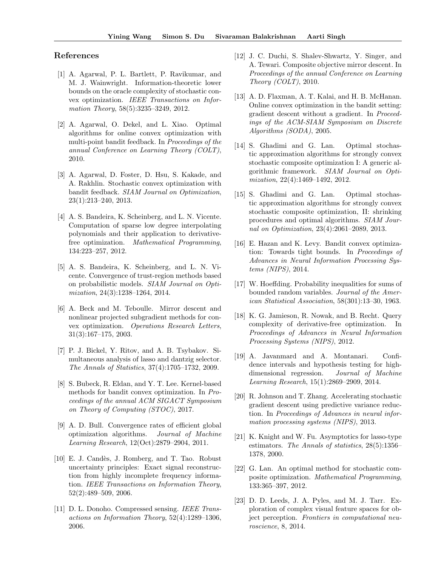### References

- [1] A. Agarwal, P. L. Bartlett, P. Ravikumar, and M. J. Wainwright. Information-theoretic lower bounds on the oracle complexity of stochastic convex optimization. IEEE Transactions on Information Theory, 58(5):3235-3249, 2012.
- [2] A. Agarwal, O. Dekel, and L. Xiao. Optimal algorithms for online convex optimization with multi-point bandit feedback. In Proceedings of the annual Conference on Learning Theory (COLT), 2010.
- [3] A. Agarwal, D. Foster, D. Hsu, S. Kakade, and A. Rakhlin. Stochastic convex optimization with bandit feedback. SIAM Journal on Optimization, 23(1):213–240, 2013.
- [4] A. S. Bandeira, K. Scheinberg, and L. N. Vicente. Computation of sparse low degree interpolating polynomials and their application to derivativefree optimization. Mathematical Programming, 134:223–257, 2012.
- [5] A. S. Bandeira, K. Scheinberg, and L. N. Vicente. Convergence of trust-region methods based on probabilistic models. SIAM Journal on Optimization, 24(3):1238–1264, 2014.
- [6] A. Beck and M. Teboulle. Mirror descent and nonlinear projected subgradient methods for convex optimization. Operations Research Letters, 31(3):167–175, 2003.
- [7] P. J. Bickel, Y. Ritov, and A. B. Tsybakov. Simultaneous analysis of lasso and dantzig selector. The Annals of Statistics, 37(4):1705–1732, 2009.
- [8] S. Bubeck, R. Eldan, and Y. T. Lee. Kernel-based methods for bandit convex optimization. In Proceedings of the annual ACM SIGACT Symposium on Theory of Computing (STOC), 2017.
- [9] A. D. Bull. Convergence rates of efficient global optimization algorithms. Journal of Machine Learning Research, 12(Oct):2879–2904, 2011.
- [10] E. J. Candès, J. Romberg, and T. Tao. Robust uncertainty principles: Exact signal reconstruction from highly incomplete frequency information. IEEE Transactions on Information Theory, 52(2):489–509, 2006.
- [11] D. L. Donoho. Compressed sensing. IEEE Transactions on Information Theory, 52(4):1289–1306, 2006.
- [12] J. C. Duchi, S. Shalev-Shwartz, Y. Singer, and A. Tewari. Composite objective mirror descent. In Proceedings of the annual Conference on Learning Theory (COLT), 2010.
- [13] A. D. Flaxman, A. T. Kalai, and H. B. McHanan. Online convex optimization in the bandit setting: gradient descent without a gradient. In Proceedings of the ACM-SIAM Symposium on Discrete Algorithms (SODA), 2005.
- [14] S. Ghadimi and G. Lan. Optimal stochastic approximation algorithms for strongly convex stochastic composite optimization I: A generic algorithmic framework. SIAM Journal on Optimization, 22(4):1469–1492, 2012.
- [15] S. Ghadimi and G. Lan. Optimal stochastic approximation algorithms for strongly convex stochastic composite optimization, II: shrinking procedures and optimal algorithms. SIAM Journal on Optimization, 23(4):2061–2089, 2013.
- [16] E. Hazan and K. Levy. Bandit convex optimization: Towards tight bounds. In Proceedings of Advances in Neural Information Processing Systems (NIPS), 2014.
- [17] W. Hoeffding. Probability inequalities for sums of bounded random variables. Journal of the American Statistical Association, 58(301):13–30, 1963.
- [18] K. G. Jamieson, R. Nowak, and B. Recht. Query complexity of derivative-free optimization. In Proceedings of Advances in Neural Information Processing Systems (NIPS), 2012.
- [19] A. Javanmard and A. Montanari. Confidence intervals and hypothesis testing for highdimensional regression. Journal of Machine Learning Research, 15(1):2869–2909, 2014.
- [20] R. Johnson and T. Zhang. Accelerating stochastic gradient descent using predictive variance reduction. In Proceedings of Advances in neural information processing systems (NIPS), 2013.
- [21] K. Knight and W. Fu. Asymptotics for lasso-type estimators. The Annals of statistics, 28(5):1356– 1378, 2000.
- [22] G. Lan. An optimal method for stochastic composite optimization. Mathematical Programming, 133:365–397, 2012.
- [23] D. D. Leeds, J. A. Pyles, and M. J. Tarr. Exploration of complex visual feature spaces for object perception. Frontiers in computational neuroscience, 8, 2014.